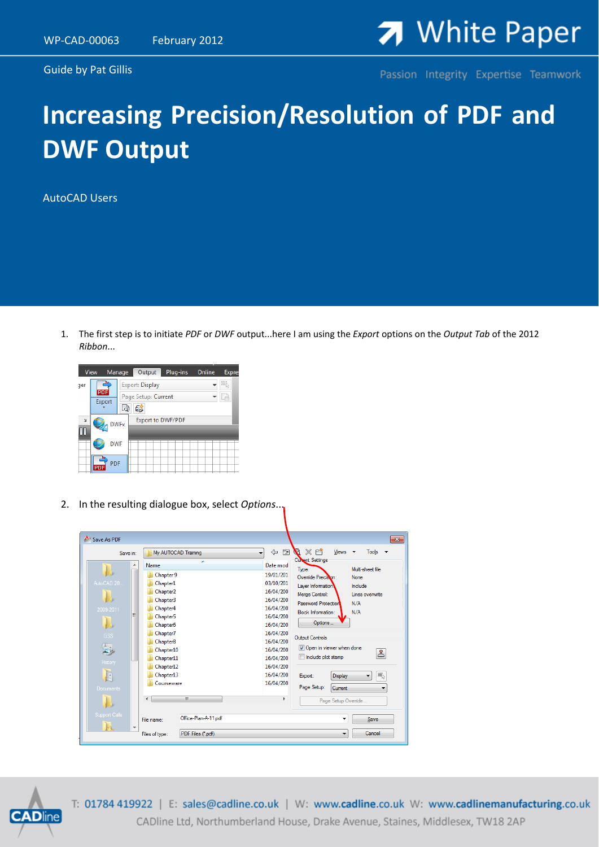Guide by Pat Gillis



Passion Integrity Expertise Teamwork

## **Increasing Precision/Resolution of PDF and DWF Output**

AutoCAD Users

1. The first step is to initiate *PDF* or *DWF* output...here I am using the *Export* options on the *Output Tab* of the 2012 *Ribbon*...



2. In the resulting dialogue box, select *Options*...





T: 01784 419922 | E: sales@cadline.co.uk | W: www.cadline.co.uk W: www.cadlinemanufacturing.co.uk CADline Ltd, Northumberland House, Drake Avenue, Staines, Middlesex, TW18 2AP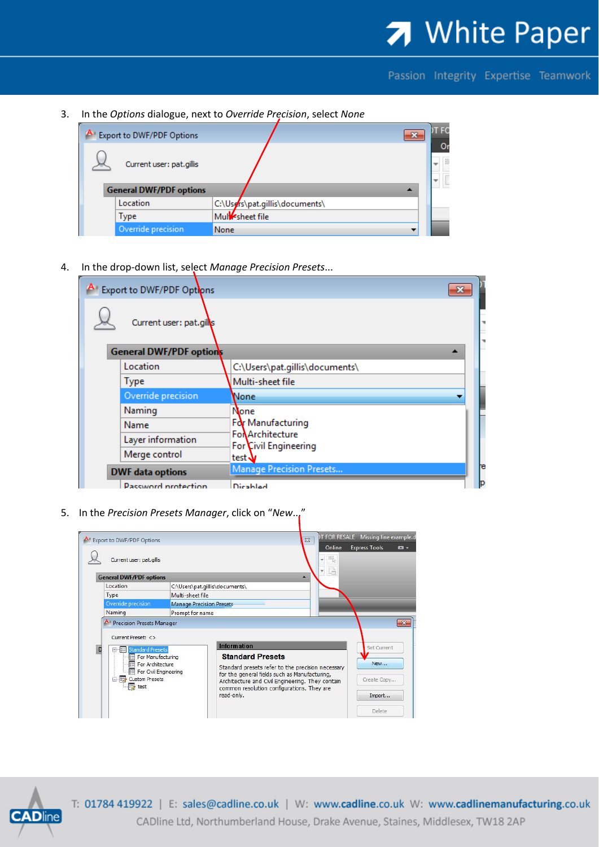## 7 White Paper

Passion Integrity Expertise Teamwork

3. In the *Options* dialogue, next to *Override Precision*, select *None*

| A Export to DWF/PDF Options    | $\mathbf{x}$                   | <b>IT FC</b> |
|--------------------------------|--------------------------------|--------------|
| Current user: pat.gillis       |                                | Oı           |
| <b>General DWF/PDF options</b> |                                |              |
| Location                       | C:\Users\pat.gillis\documents\ |              |
| Type                           | Mulesheet file                 |              |
| Override precision             | None                           |              |

4. In the drop‐down list, select *Manage Precision Presets*...

| Export to DWF/PDF Options  |                                                 |   |
|----------------------------|-------------------------------------------------|---|
| Current user: pat.gills    |                                                 |   |
| General DWF/PDF options    |                                                 |   |
| Location                   | C:\Users\pat.gillis\documents\                  |   |
| <b>Type</b>                | Multi-sheet file                                |   |
| Override precision         | None                                            |   |
| Naming                     | None                                            |   |
| Name                       | For Manufacturing                               |   |
| Layer information          | <b>Fo</b> Architecture<br>For Civil Engineering |   |
| Merge control              | test \                                          |   |
| <b>DWF</b> data options    | <b>Manage Precision Presets</b>                 | æ |
| <b>Password protection</b> | Diesklad                                        |   |

5. In the *Precision Presets Manager*, click on "*New*..."

| <b>A</b> Export to DWF/PDF Options<br>Current user: pat.gillis<br><b>General DWF/PDF options</b><br>C:\Users\pat.qillis\documents\<br>Multi-sheet file<br><b>Manage Precision Presets</b><br>Naming<br>Prompt for name<br>Precision Presets Manager<br>Current Preset: <><br><b>Information</b><br><b>Standard Presets</b><br>$z =$<br>o.<br>For Manufacturing<br>For Architecture<br>For Civil Engineering<br>Custom Presets<br>$\Rightarrow$ test<br>common resolution configurations. They are<br>read-only. | IT FOR RESALE Missing line example.d<br>$\Sigma\!3$ |                                                                                                                                                                                   |                                   |
|-----------------------------------------------------------------------------------------------------------------------------------------------------------------------------------------------------------------------------------------------------------------------------------------------------------------------------------------------------------------------------------------------------------------------------------------------------------------------------------------------------------------|-----------------------------------------------------|-----------------------------------------------------------------------------------------------------------------------------------------------------------------------------------|-----------------------------------|
|                                                                                                                                                                                                                                                                                                                                                                                                                                                                                                                 |                                                     | Online<br>那<br>là                                                                                                                                                                 | <b>Express Tools</b>              |
|                                                                                                                                                                                                                                                                                                                                                                                                                                                                                                                 |                                                     | A                                                                                                                                                                                 |                                   |
| Location                                                                                                                                                                                                                                                                                                                                                                                                                                                                                                        |                                                     |                                                                                                                                                                                   |                                   |
| Type                                                                                                                                                                                                                                                                                                                                                                                                                                                                                                            |                                                     |                                                                                                                                                                                   |                                   |
| Override precision                                                                                                                                                                                                                                                                                                                                                                                                                                                                                              |                                                     |                                                                                                                                                                                   |                                   |
|                                                                                                                                                                                                                                                                                                                                                                                                                                                                                                                 |                                                     |                                                                                                                                                                                   |                                   |
|                                                                                                                                                                                                                                                                                                                                                                                                                                                                                                                 |                                                     |                                                                                                                                                                                   |                                   |
|                                                                                                                                                                                                                                                                                                                                                                                                                                                                                                                 |                                                     | <b>Standard Presets</b><br>Standard presets refer to the precision necessary<br>for the general fields such as Manufacturing,<br>Architecture and Civil Engineering. They contain | Set Current<br>New<br>Create Copy |



T: 01784 419922 | E: sales@cadline.co.uk | W: www.cadline.co.uk W: www.cadlinemanufacturing.co.uk CADline Ltd, Northumberland House, Drake Avenue, Staines, Middlesex, TW18 2AP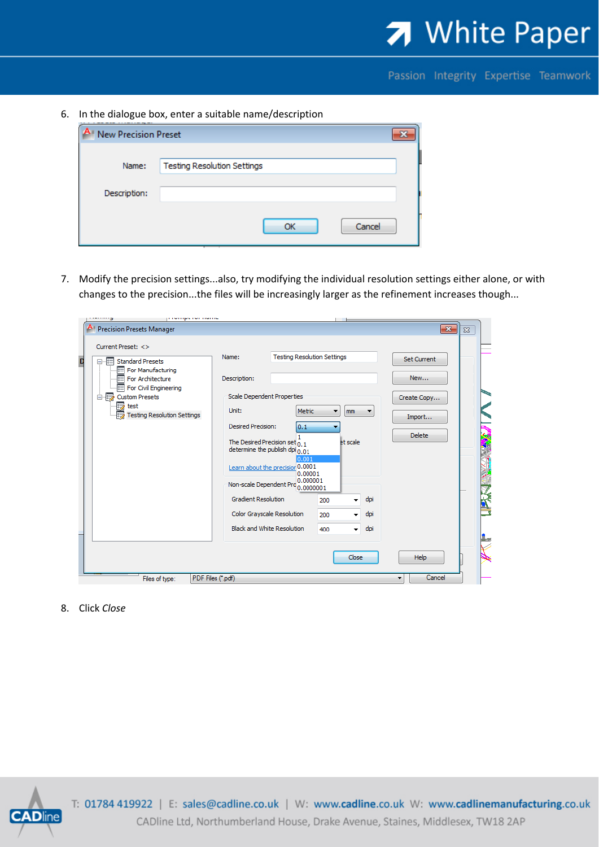

Passion Integrity Expertise Teamwork

6. In the dialogue box, enter a suitable name/description

| New Precision Preset |                                    |  |
|----------------------|------------------------------------|--|
|                      |                                    |  |
| Name:                | <b>Testing Resolution Settings</b> |  |
|                      |                                    |  |
| Description:         |                                    |  |
|                      |                                    |  |
|                      | Cancel<br>ОК                       |  |

7. Modify the precision settings...also, try modifying the individual resolution settings either alone, or with changes to the precision...the files will be increasingly larger as the refinement increases though...

|   | <b>CONTRACTOR</b> CONTRACTOR<br>э                                                                                                                                                                            |                                                                                                                                                                                                                                                                                                                                                  |                                                                                     |                                          |                        |                                                                     |          |  |
|---|--------------------------------------------------------------------------------------------------------------------------------------------------------------------------------------------------------------|--------------------------------------------------------------------------------------------------------------------------------------------------------------------------------------------------------------------------------------------------------------------------------------------------------------------------------------------------|-------------------------------------------------------------------------------------|------------------------------------------|------------------------|---------------------------------------------------------------------|----------|--|
|   | <b>Precision Presets Manager</b>                                                                                                                                                                             |                                                                                                                                                                                                                                                                                                                                                  |                                                                                     |                                          |                        | $\mathbf{x}$                                                        | $\Sigma$ |  |
| D | Current Preset: <><br>□ Fill Standard Presets<br>For Manufacturing<br>For Architecture<br>For Civil Engineering<br>白 <b>x</b> Custom Presets<br>$\overline{\rightarrow}$ test<br>Testing Resolution Settings | Name:<br>Description:<br><b>Scale Dependent Properties</b><br>Unit:<br>Desired Precision:<br>The Desired Precision set $_{0.1}$<br>determine the publish dpi $_{0.01}$<br>Learn about the precision 0.0001<br>Non-scale Dependent Pro 0.0000001<br><b>Gradient Resolution</b><br>Color Grayscale Resolution<br><b>Black and White Resolution</b> | <b>Testing Resolution Settings</b><br>Metric<br>0.1<br>0.001<br>0.00001<br>0.000001 | mm<br>▼<br>et scale<br>200<br>200<br>400 | ▼<br>dpi<br>dpi<br>dpi | <b>Set Current</b><br>New<br>Create Copy<br>Import<br><b>Delete</b> |          |  |
|   |                                                                                                                                                                                                              |                                                                                                                                                                                                                                                                                                                                                  |                                                                                     |                                          | Close                  | <b>Help</b>                                                         |          |  |
|   | PDF Files (*.pdf)<br>Files of type:                                                                                                                                                                          |                                                                                                                                                                                                                                                                                                                                                  |                                                                                     |                                          |                        | Cancel<br>▼                                                         |          |  |

8. Click *Close*



T: 01784 419922 | E: sales@cadline.co.uk | W: www.cadline.co.uk W: www.cadlinemanufacturing.co.uk CADline Ltd, Northumberland House, Drake Avenue, Staines, Middlesex, TW18 2AP